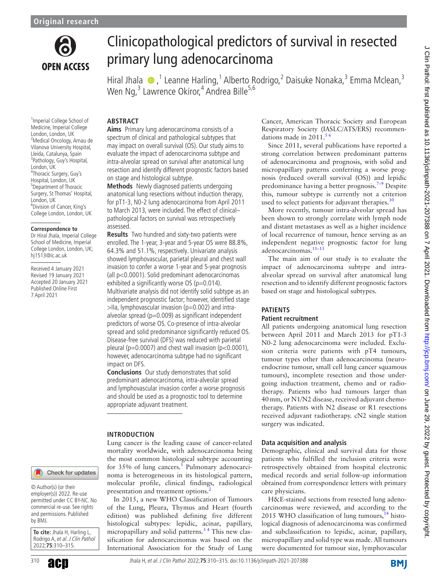

<sup>1</sup> Imperial College School of

# Clinicopathological predictors of survival in resected primary lung adenocarcinoma

Hiral Jhala  $\bigcirc$ , <sup>1</sup> Leanne Harling, <sup>1</sup> Alberto Rodrigo, <sup>2</sup> Daisuke Nonaka, <sup>3</sup> Emma Mclean, <sup>3</sup> Wen Ng,<sup>3</sup> Lawrence Okiror,<sup>4</sup> Andrea Bille<sup>5,6</sup>

# **ABSTRACT**

Medicine, Imperial College London, London, UK 2 Medical Oncology, Arnau de Vilanova University Hospital, Lleida, Catalunya, Spain 3 Pathology, Guy's Hospital, London, UK 4 Thoracic Surgery, Guy's Hospital, London, UK 5 Department of Thoracic Surgery, St Thomas' Hospital, London, UK

6 Division of Cancer, King's College London, London, UK

#### **Correspondence to**

Dr Hiral Jhala, Imperial College School of Medicine, Imperial College London, London, UK; hj1513@ic.ac.uk

Received 4 January 2021 Revised 19 January 2021 Accepted 20 January 2021 Published Online First 7 April 2021

**Aims** Primary lung adenocarcinoma consists of a spectrum of clinical and pathological subtypes that may impact on overall survival (OS). Our study aims to evaluate the impact of adenocarcinoma subtype and intra-alveolar spread on survival after anatomical lung resection and identify different prognostic factors based on stage and histological subtype.

**Methods** Newly diagnosed patients undergoing anatomical lung resections without induction therapy, for pT1-3, N0-2 lung adenocarcinoma from April 2011 to March 2013, were included. The effect of clinical– pathological factors on survival was retrospectively assessed.

**Results** Two hundred and sixty-two patients were enrolled. The 1-year, 3-year and 5-year OS were 88.8%, 64.3% and 51.1%, respectively. Univariate analysis showed lymphovascular, parietal pleural and chest wall invasion to confer a worse 1-year and 5-year prognosis (all p<0.0001). Solid predominant adenocarcinomas exhibited a significantly worse OS (p=0.014). Multivariate analysis did not identify solid subtype as an independent prognostic factor; however, identified stage  $>$ IIa, lymphovascular invasion (p=0.002) and intraalveolar spread ( $p=0.009$ ) as significant independent predictors of worse OS. Co-presence of intra-alveolar spread and solid predominance significantly reduced OS. Disease-free survival (DFS) was reduced with parietal pleural ( $p=0.0007$ ) and chest wall invasion ( $p<0.0001$ ), however, adenocarcinoma subtype had no significant impact on DFS.

**Conclusions** Our study demonstrates that solid predominant adenocarcinoma, intra-alveolar spread and lymphovascular invasion confer a worse prognosis and should be used as a prognostic tool to determine appropriate adjuvant treatment.

#### **INTRODUCTION**

Lung cancer is the leading cause of cancer-related mortality worldwide, with adenocarcinoma being the most common histological subtype accounting for 35% of lung cancers.<sup>[1](#page-4-0)</sup> Pulmonary adenocarcinoma is heterogeneous in its histological pattern, molecular profile, clinical findings, radiological presentation and treatment options.<sup>[2](#page-4-1)</sup>

In 2015, a new WHO Classification of Tumours of the Lung, Pleura, Thymus and Heart (fourth edition) was published defining five different histological subtypes: lepidic, acinar, papillary, micropapillary and solid patterns. $3<sup>4</sup>$  This new classification for adenocarcinomas was based on the International Association for the Study of Lung Cancer, American Thoracic Society and European Respiratory Society (IASLC/ATS/ERS) recommendations made in 2011.<sup>56</sup>

Since 2011, several publications have reported a strong correlation between predominant patterns of adenocarcinoma and prognosis, with solid and micropapillary patterns conferring a worse prognosis (reduced overall survival (OS)) and lepidic predominance having a better prognosis.<sup>7-9</sup> Despite this, tumour subtype is currently not a criterion used to select patients for adjuvant therapies. $10$ 

More recently, tumour intra-alveolar spread has been shown to strongly correlate with lymph node and distant metastases as well as a higher incidence of local recurrence of tumour, hence serving as an independent negative prognostic factor for lung adenocarcinomas.<sup>11-13</sup>

The main aim of our study is to evaluate the impact of adenocarcinoma subtype and intraalveolar spread on survival after anatomical lung resection and to identify different prognostic factors based on stage and histological subtypes.

## **PATIENTS**

## **Patient recruitment**

All patients undergoing anatomical lung resection between April 2011 and March 2013 for pT1-3 N0-2 lung adenocarcinoma were included. Exclusion criteria were patients with pT4 tumours, tumour types other than adenocarcinoma (neuroendocrine tumour, small cell lung cancer squamous tumours), incomplete resection and those undergoing induction treatment, chemo and or radiotherapy. Patients who had tumours larger than 40mm, or N1/N2 disease, received adjuvant chemotherapy. Patients with N2 disease or R1 resections received adjuvant radiotherapy. cN2 single station surgery was indicated.

# **Data acquisition and analysis**

Demographic, clinical and survival data for those patients who fulfilled the inclusion criteria were retrospectively obtained from hospital electronic medical records and serial follow-up information obtained from correspondence letters with primary care physicians.

H&E-stained sections from resected lung adenocarcinomas were reviewed, and according to the 2015 WHO classification of lung tumours, $^{14}$  histological diagnosis of adenocarcinoma was confirmed and subclassification to lepidic, acinar, papillary, micropapillary and solid type was made. All tumours were documented for tumour size, lymphovascular

#### Check for updates

© Author(s) (or their employer(s)) 2022. Re-use permitted under CC BY-NC. No commercial re-use. See rights and permissions. Published by BMJ.

**To cite:** Jhala H, Harling L, Rodrigo A, et al. J Clin Pathol 2022;**75**:310–315.

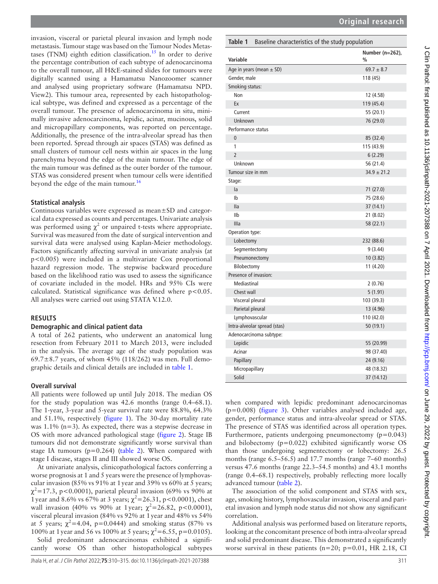**Original research**

invasion, visceral or parietal pleural invasion and lymph node metastasis. Tumour stage was based on the Tumour Nodes Metastases (TNM) eighth edition classification.<sup>15</sup> In order to derive the percentage contribution of each subtype of adenocarcinoma to the overall tumour, all H&E-stained slides for tumours were digitally scanned using a Hamamatsu Nanozoomer scanner and analysed using proprietary software (Hamamatsu NPD. View2). This tumour area, represented by each histopathological subtype, was defined and expressed as a percentage of the overall tumour. The presence of adenocarcinoma in situ, minimally invasive adenocarcinoma, lepidic, acinar, mucinous, solid and micropapillary components, was reported on percentage. Additionally, the presence of the intra-alveolar spread has then been reported. Spread through air spaces (STAS) was defined as small clusters of tumour cell nests within air spaces in the lung parenchyma beyond the edge of the main tumour. The edge of the main tumour was defined as the outer border of the tumour. STAS was considered present when tumour cells were identified beyond the edge of the main tumour.<sup>16</sup>

## **Statistical analysis**

Continuous variables were expressed as mean±SD and categorical data expressed as counts and percentages. Univariate analysis was performed using  $\chi^2$  or unpaired t-tests where appropriate. Survival was measured from the date of surgical intervention and survival data were analysed using Kaplan-Meier methodology. Factors significantly affecting survival in univariate analysis (at p<0.005) were included in a multivariate Cox proportional hazard regression mode. The stepwise backward procedure based on the likelihood ratio was used to assess the significance of covariate included in the model. HRs and 95% CIs were calculated. Statistical significance was defined where  $p < 0.05$ . All analyses were carried out using STATA V.12.0.

## **RESULTS**

#### **Demographic and clinical patient data**

A total of 262 patients, who underwent an anatomical lung resection from February 2011 to March 2013, were included in the analysis. The average age of the study population was 69.7 $\pm$ 8.7 years, of whom 45% (118/262) was men. Full demographic details and clinical details are included in [table](#page-1-0) 1.

#### **Overall survival**

All patients were followed up until July 2018. The median OS for the study population was 42.6 months (range 0.4–68.1). The 1-year, 3-year and 5-year survival rate were 88.8%, 64.3% and 51.1%, respectively [\(figure](#page-2-0) 1). The 30-day mortality rate was 1.1% (n=3). As expected, there was a stepwise decrease in OS with more advanced pathological stage ([figure](#page-2-1) 2). Stage IB tumours did not demonstrate significantly worse survival than stage IA tumours ( $p=0.264$ ) [\(table](#page-2-2) 2). When compared with stage I disease, stages II and III showed worse OS.

At univariate analysis, clinicopathological factors conferring a worse prognosis at 1 and 5 years were the presence of lymphovascular invasion (85% vs 91% at 1year and 39% vs 60% at 5 years;  $\chi^2$ =17.3, p<0.0001), parietal pleural invasion (69% vs 90% at 1 year and 8.6% vs 67% at 3 years;  $\chi^2$  = 26.31, p < 0.0001), chest wall invasion (40% vs 90% at 1year;  $\chi^2 = 26.82$ , p<0.0001), visceral pleural invasion (84% vs 92% at 1year and 48% vs 54% at 5 years;  $\chi^2$ =4.04, p=0.0444) and smoking status (87% vs 100% at 1 year and 56 vs 100% at 5 years;  $\chi^2 = 6.55$ , p=0.0105).

Solid predominant adenocarcinomas exhibited a significantly worse OS than other histopathological subtypes

#### <span id="page-1-0"></span>**Table 1** Baseline characteristics of the study population

| Variable                     | Number (n=262),<br>$\frac{0}{0}$ |
|------------------------------|----------------------------------|
| Age in years (mean $\pm$ SD) | $69.7 \pm 8.7$                   |
| Gender, male                 | 118 (45)                         |
| Smoking status:              |                                  |
| Non                          | 12 (4.58)                        |
| Ex                           | 119 (45.4)                       |
| Current                      | 55 (20.1)                        |
| Unknown                      | 76 (29.0)                        |
| Performance status           |                                  |
| $\overline{0}$               | 85 (32.4)                        |
| 1                            | 115 (43.9)                       |
| $\overline{2}$               | 6(2.29)                          |
| Unknown                      | 56 (21.4)                        |
| Tumour size in mm            | $34.9 \pm 21.2$                  |
| Stage:                       |                                  |
| la                           | 71 (27.0)                        |
| Ib                           | 75 (28.6)                        |
| lla                          | 37 (14.1)                        |
| IIb                          | 21 (8.02)                        |
| Illa                         | 58 (22.1)                        |
| Operation type:              |                                  |
| Lobectomy                    | 232 (88.6)                       |
| Segmentectomy                | 9 (3.44)                         |
| Pneumonectomy                | 10(3.82)                         |
| Bilobectomy                  | 11 (4.20)                        |
| Presence of invasion:        |                                  |
| Mediastinal                  | 2(0.76)                          |
| Chest wall                   | 5(1.91)                          |
| Visceral pleural             | 103 (39.3)                       |
| Parietal pleural             | 13 (4.96)                        |
| Lymphovascular               | 110 (42.0)                       |
| Intra-alveolar spread (stas) | 50 (19.1)                        |
| Adenocarcinoma subtype:      |                                  |
| Lepidic                      | 55 (20.99)                       |
| Acinar                       | 98 (37.40)                       |
| Papillary                    | 24 (9.16)                        |
| Micropapillary               | 48 (18.32)                       |
| Solid                        | 37 (14.12)                       |

when compared with lepidic predominant adenocarcinomas  $(p=0.008)$  [\(figure](#page-2-3) 3). Other variables analysed included age, gender, performance status and intra-alveolar spread or STAS. The presence of STAS was identified across all operation types. Furthermore, patients undergoing pneumonectomy (p=0.043) and bilobectomy (p=0.022) exhibited significantly worse OS than those undergoing segmentectomy or lobectomy: 26.5 months (range 6.5–56.5) and 17.7 months (range 7–60 months) versus 47.6 months (range 22.3–54.5 months) and 43.1 months (range 0.4–68.1) respectively, probably reflecting more locally advanced tumour [\(table](#page-2-2) 2).

The association of the solid component and STAS with sex, age, smoking history, lymphovascular invasion, visceral and parietal invasion and lymph node status did not show any significant correlation.

Additional analysis was performed based on literature reports, looking at the concomitant presence of both intra-alveolar spread and solid predominant disease. This demonstrated a significantly worse survival in these patients  $(n=20; p=0.01, HR 2.18, CI)$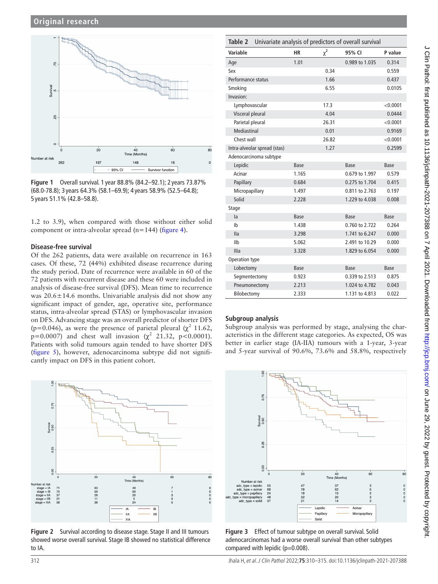

<span id="page-2-0"></span>**Figure 1** Overall survival. 1 year 88.8% (84.2–92.1); 2 years 73.87% (68.0-78.8); 3 years 64.3% (58.1–69.9); 4 years 58.9% (52.5–64.8); 5 years 51.1% (42.8–58.8).

1.2 to 3.9), when compared with those without either solid component or intra-alveolar spread (n=144) [\(figure](#page-3-0) 4).

## **Disease-free survival**

Of the 262 patients, data were available on recurrence in 163 cases. Of these, 72 (44%) exhibited disease recurrence during the study period. Date of recurrence were available in 60 of the 72 patients with recurrent disease and these 60 were included in analysis of disease-free survival (DFS). Mean time to recurrence was  $20.6 \pm 14.6$  months. Univariable analysis did not show any significant impact of gender, age, operative site, performance status, intra-alveolar spread (STAS) or lymphovascular invasion on DFS. Advancing stage was an overall predictor of shorter DFS (p=0.046), as were the presence of parietal pleural ( $\chi^2$  11.62,  $p=0.0007$ ) and chest wall invasion ( $\chi^2$  21.32, p<0.0001). Patients with solid tumours again tended to have shorter DFS ([figure](#page-3-1) 5), however, adenocarcinoma subtype did not significantly impact on DFS in this patient cohort.



<span id="page-2-1"></span>**Figure 2** Survival according to disease stage. Stage II and III tumours showed worse overall survival. Stage IB showed no statistical difference to IA.

<span id="page-2-2"></span>

| Univariate analysis of predictors of overall survival<br>Table 2 |       |          |                |             |  |  |  |
|------------------------------------------------------------------|-------|----------|----------------|-------------|--|--|--|
| Variable                                                         | НR    | $\chi^2$ | 95% CI         | P value     |  |  |  |
| Age                                                              | 1.01  |          | 0.989 to 1.035 | 0.314       |  |  |  |
| Sex                                                              |       | 0.34     |                | 0.559       |  |  |  |
| Performance status                                               |       | 1.66     |                | 0.437       |  |  |  |
| Smoking                                                          |       | 6.55     |                | 0.0105      |  |  |  |
| Invasion:                                                        |       |          |                |             |  |  |  |
| Lymphovascular                                                   |       | 17.3     |                | < 0.0001    |  |  |  |
| Visceral pleural                                                 |       | 4.04     |                | 0.0444      |  |  |  |
| Parietal pleural                                                 |       | 26.31    |                | < 0.0001    |  |  |  |
| Mediastinal                                                      |       | 0.01     |                | 0.9169      |  |  |  |
| Chest wall                                                       |       | 26.82    |                | < 0.0001    |  |  |  |
| Intra-alveolar spread (stas)                                     |       | 1.27     |                | 0.2599      |  |  |  |
| Adenocarcinoma subtype                                           |       |          |                |             |  |  |  |
| Lepidic                                                          | Base  |          | Base           | Base        |  |  |  |
| Acinar                                                           | 1.165 |          | 0.679 to 1.997 | 0.579       |  |  |  |
| Papillary                                                        | 0.684 |          | 0.275 to 1.704 | 0.415       |  |  |  |
| Micropapillary                                                   | 1.497 |          | 0.811 to 2.763 | 0.197       |  |  |  |
| Solid                                                            | 2.228 |          | 1.229 to 4.038 | 0.008       |  |  |  |
| <b>Stage</b>                                                     |       |          |                |             |  |  |  |
| la                                                               | Base  |          | <b>Base</b>    | <b>Base</b> |  |  |  |
| Ib                                                               | 1.438 |          | 0.760 to 2.722 | 0.264       |  |  |  |
| lla                                                              | 3.298 |          | 1.741 to 6.247 | 0.000       |  |  |  |
| IIb                                                              | 5.062 |          | 2.491 to 10.29 | 0.000       |  |  |  |
| Illa                                                             | 3.328 |          | 1.829 to 6.054 | 0.000       |  |  |  |
| Operation type                                                   |       |          |                |             |  |  |  |
| Lobectomy                                                        | Base  |          | Base           | Base        |  |  |  |
| Segmentectomy                                                    | 0.923 |          | 0.339 to 2.513 | 0.875       |  |  |  |
| Pneumonectomy                                                    | 2.213 |          | 1.024 to 4.782 | 0.043       |  |  |  |
| Bilobectomy                                                      | 2.333 |          | 1.131 to 4.813 | 0.022       |  |  |  |

## **Subgroup analysis**

Subgroup analysis was performed by stage, analysing the characteristics in the different stage categories. As expected, OS was better in earlier stage (IA-IIA) tumours with a 1-year, 3-year and 5-year survival of 90.6%, 73.6% and 58.8%, respectively



<span id="page-2-3"></span>**Figure 3** Effect of tumour subtype on overall survival. Solid adenocarcinomas had a worse overall survival than other subtypes compared with lepidic (p=0.008).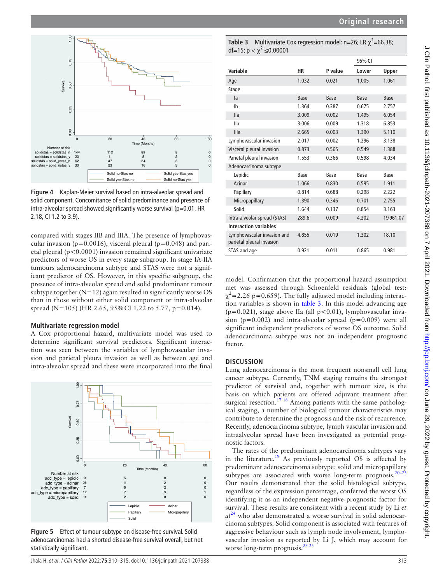

<span id="page-3-0"></span>**Figure 4** Kaplan-Meier survival based on intra-alveolar spread and solid component. Concomitance of solid predominance and presence of intra-alveolar spread showed significantly worse survival ( $p=0.01$ , HR 2.18, CI 1.2 to 3.9).

compared with stages IIB and IIIA. The presence of lymphovascular invasion ( $p=0.0016$ ), visceral pleural ( $p=0.048$ ) and parietal pleural (p<0.0001) invasion remained significant univariate predictors of worse OS in every stage subgroup. In stage IA-IIA tumours adenocarcinoma subtype and STAS were not a significant predictor of OS. However, in this specific subgroup, the presence of intra-alveolar spread and solid predominant tumour subtype together  $(N=12)$  again resulted in significantly worse OS than in those without either solid component or intra-alveolar spread (N=105) (HR 2.65, 95% CI 1.22 to 5.77, p=0.014).

#### **Multivariate regression model**

A Cox proportional hazard, multivariate model was used to determine significant survival predictors. Significant interaction was seen between the variables of lymphovascular invasion and parietal pleura invasion as well as between age and intra-alveolar spread and these were incorporated into the final



<span id="page-3-1"></span>**Figure 5** Effect of tumour subtype on disease-free survival. Solid adenocarcinomas had a shorted disease-free survival overall, but not statistically significant.

<span id="page-3-2"></span>**Table 3** Multivariate Cox regression model:  $n=26$ ; LR  $\chi^2=66.38$ ; df=15;  $p < \chi^2 \le 0.00001$ 

|                                                          |       |         | 95% CI |          |
|----------------------------------------------------------|-------|---------|--------|----------|
| Variable                                                 | НR    | P value | Lower  | Upper    |
| Age                                                      | 1.032 | 0.021   | 1.005  | 1.061    |
| Stage                                                    |       |         |        |          |
| la                                                       | Base  | Base    | Base   | Base     |
| Ib                                                       | 1.364 | 0.387   | 0.675  | 2.757    |
| <b>Ila</b>                                               | 3.009 | 0.002   | 1.495  | 6.054    |
| IIb                                                      | 3.006 | 0.009   | 1.318  | 6.853    |
| Illa                                                     | 2.665 | 0.003   | 1.390  | 5.110    |
| Lymphovascular invasion                                  | 2.017 | 0.002   | 1.296  | 3.138    |
| Visceral pleural invasion                                | 0.873 | 0.565   | 0.549  | 1.388    |
| Parietal pleural invasion                                | 1.553 | 0.366   | 0.598  | 4.034    |
| Adenocarcinoma subtype                                   |       |         |        |          |
| Lepidic                                                  | Base  | Base    | Base   | Base     |
| Acinar                                                   | 1.066 | 0.830   | 0.595  | 1.911    |
| Papillary                                                | 0.814 | 0.688   | 0.298  | 2.222    |
| Micropapillary                                           | 1.390 | 0.346   | 0.701  | 2.755    |
| Solid                                                    | 1.644 | 0.137   | 0.854  | 3.163    |
| Intra-alveolar spread (STAS)                             | 289.6 | 0.009   | 4.202  | 19961.07 |
| <b>Interaction variables</b>                             |       |         |        |          |
| Lymphovascular invasion and<br>parietal pleural invasion | 4.855 | 0.019   | 1.302  | 18.10    |
| STAS and age                                             | 0.921 | 0.011   | 0.865  | 0.981    |

model. Confirmation that the proportional hazard assumption met was assessed through Schoenfeld residuals (global test:  $\chi^2$ =2.26 p=0.659). The fully adjusted model including interaction variables is shown in [table](#page-3-2) 3. In this model advancing age ( $p=0.021$ ), stage above IIa (all  $p<0.01$ ), lymphovascular invasion ( $p=0.002$ ) and intra-alveolar spread ( $p=0.009$ ) were all significant independent predictors of worse OS outcome. Solid adenocarcinoma subtype was not an independent prognostic factor.

#### **DISCUSSION**

Lung adenocarcinoma is the most frequent nonsmall cell lung cancer subtype. Currently, TNM staging remains the strongest predictor of survival and, together with tumour size, is the basis on which patients are offered adjuvant treatment after surgical resection.<sup>17 18</sup> Among patients with the same pathological staging, a number of biological tumour characteristics may contribute to determine the prognosis and the risk of recurrence. Recently, adenocarcinoma subtype, lymph vascular invasion and intraalveolar spread have been investigated as potential prognostic factors.

The rates of the predominant adenocarcinoma subtypes vary in the literature.<sup>[19](#page-4-11)</sup> As previously reported OS is affected by predominant adenocarcinoma subtype: solid and micropapillary subtypes are associated with worse long-term prognosis.<sup>20-23</sup> Our results demonstrated that the solid histological subtype, regardless of the expression percentage, conferred the worst OS identifying it as an independent negative prognostic factor for survival. These results are consistent with a recent study by Li *et*   $al^{24}$  $al^{24}$  $al^{24}$  who also demonstrated a worse survival in solid adenocarcinoma subtypes. Solid component is associated with features of aggressive behaviour such as lymph node involvement, lymphovascular invasion as reported by Li J, which may account for worse long-term prognosis. $^{23}$   $^{25}$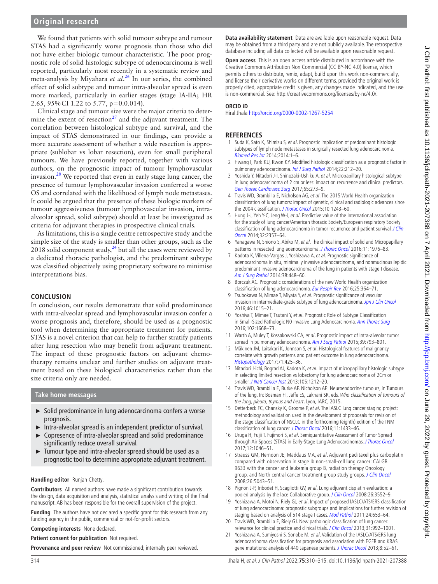# **Original research**

We found that patients with solid tumour subtype and tumour STAS had a significantly worse prognosis than those who did not have either biologic tumour characteristic. The poor prognostic role of solid histologic subtype of adenocarcinoma is well reported, particularly most recently in a systematic review and meta-analysis by Miyahara *et al*. [26](#page-5-2) In our series, the combined effect of solid subtype and tumour intra-alveolar spread is even more marked, particularly in earlier stages (stage IA-IIA; HR 2.65, 95%CI 1.22 to 5.77, p=0.0.014).

Clinical stage and tumour size were the major criteria to determine the extent of resection $^{27}$  and the adjuvant treatment. The correlation between histological subtype and survival, and the impact of STAS demonstrated in our findings, can provide a more accurate assessment of whether a wide resection is appropriate (sublobar vs lobar resection), even for small peripheral tumours. We have previously reported, together with various authors, on the prognostic impact of tumour lymphovascular invasion.[28](#page-5-4) We reported that even in early stage lung cancer, the presence of tumour lymphovascular invasion conferred a worse OS and correlated with the likelihood of lymph node metastases. It could be argued that the presence of these biologic markers of tumour aggressiveness (tumour lymphovascular invasion, intraalveolar spread, solid subtype) should at least be investigated as criteria for adjuvant therapies in prospective clinical trials.

As limitations, this is a single centre retrospective study and the simple size of the study is smaller than other groups, such as the 2018 solid component study, $^{24}$  but all the cases were reviewed by a dedicated thoracic pathologist, and the predominant subtype was classified objectively using proprietary software to minimise interpretations bias.

#### **CONCLUSION**

In conclusion, our results demonstrate that solid predominance with intra-alveolar spread and lymphovascular invasion confer a worse prognosis and, therefore, should be used as a prognostic tool when determining the appropriate treatment for patients. STAS is a novel criterion that can help to further stratify patients after lung resection who may benefit from adjuvant treatment. The impact of these prognostic factors on adjuvant chemotherapy remains unclear and further studies on adjuvant treatment based on these biological characteristics rather than the size criteria only are needed.

#### **Take home messages**

- ► Solid predominance in lung adenocarcinoma confers a worse prognosis.
- ► Intra-alveolar spread is an independent predictor of survival.
- Copresence of intra-alveolar spread and solid predominance significantly reduce overall survival.
- ► Tumour type and intra-alveolar spread should be used as a prognostic tool to determine appropriate adjuvant treatment.

#### **Handling editor** Runjan Chetty.

**Contributors** All named authors have made a significant contribution towards the design, data acquisition and analysis, statistical analysis and writing of the final manuscript. AB has been responsible for the overall supervision of the project.

**Funding** The authors have not declared a specific grant for this research from any funding agency in the public, commercial or not-for-profit sectors.

**Competing interests** None declared.

**Patient consent for publication** Not required.

**Provenance and peer review** Not commissioned; internally peer reviewed.

**Data availability statement** Data are available upon reasonable request. Data may be obtained from a third party and are not publicly available. The retrospective database including all data collected will be available upon reasonable request.

**Open access** This is an open access article distributed in accordance with the Creative Commons Attribution Non Commercial (CC BY-NC 4.0) license, which permits others to distribute, remix, adapt, build upon this work non-commercially, and license their derivative works on different terms, provided the original work is properly cited, appropriate credit is given, any changes made indicated, and the use is non-commercial. See: [http://creativecommons.org/licenses/by-nc/4.0/.](http://creativecommons.org/licenses/by-nc/4.0/)

#### **ORCID iD**

Hiral Jhala <http://orcid.org/0000-0002-1267-5254>

#### **REFERENCES**

- <span id="page-4-0"></span>1 Suda K, Sato K, Shimizu S, et al. Prognostic implication of predominant histologic subtypes of lymph node metastases in surgically resected lung adenocarcinoma. [Biomed Res Int](http://dx.doi.org/10.1155/2014/645681) 2014;2014:1–6.
- <span id="page-4-1"></span>2 Hwang I, Park KU, Kwon KY. Modified histologic classification as a prognostic factor in pulmonary adenocarcinoma. [Int J Surg Pathol](http://dx.doi.org/10.1177/1066896914525230) 2014;22:212–20.
- <span id="page-4-2"></span>3 Yoshida Y, Nitadori J-I, Shinozaki-Ushiku A, et al. Micropapillary histological subtype in lung adenocarcinoma of 2 cm or less: impact on recurrence and clinical predictors. [Gen Thorac Cardiovasc Surg](http://dx.doi.org/10.1007/s11748-017-0747-3) 2017;65:273–9.
- 4 Travis WD, Brambilla E, Nicholson AG, et al. The 2015 World Health organization classification of lung tumors: impact of genetic, clinical and radiologic advances since the 2004 classification. [J Thorac Oncol](http://dx.doi.org/10.1097/JTO.0000000000000630) 2015;10:1243-60.
- <span id="page-4-3"></span>5 Hung J-J, Yeh Y-C, Jeng W-J, et al. Predictive value of the International association for the study of lung cancer/American thoracic Society/European respiratory Society classification of lung adenocarcinoma in tumor recurrence and patient survival. J Clin [Oncol](http://dx.doi.org/10.1200/JCO.2013.50.1049) 2014;32:2357–64.
- 6 Yanagawa N, Shiono S, Abiko M, et al. The clinical impact of solid and Micropapillary patterns in resected lung adenocarcinoma. [J Thorac Oncol](http://dx.doi.org/10.1016/j.jtho.2016.06.014) 2016;11:1976-83.
- <span id="page-4-4"></span>7 Kadota K, Villena-Vargas J, Yoshizawa A, et al. Prognostic significance of adenocarcinoma in situ, minimally invasive adenocarcinoma, and nonmucinous lepidic predominant invasive adenocarcinoma of the lung in patients with stage I disease. [Am J Surg Pathol](http://dx.doi.org/10.1097/PAS.0000000000000134) 2014;38:448–60.
- 8 Borczuk AC. Prognostic considerations of the new World Health organization classification of lung adenocarcinoma. [Eur Respir Rev](http://dx.doi.org/10.1183/16000617.0089-2016) 2016;25:364–71.
- 9 Tsubokawa N, Mimae T, Miyata Y, et al. Prognostic significance of vascular invasion in intermediate-grade subtype of lung adenocarcinoma. [Jpn J Clin Oncol](http://dx.doi.org/10.1093/jjco/hyw113) 2016;46:1015–21.
- <span id="page-4-5"></span>10 Yoshiya T, Mimae T, Tsutani Y, et al. Prognostic Role of Subtype Classification in Small-Sized Pathologic N0 Invasive Lung Adenocarcinoma. [Ann Thorac Surg](http://dx.doi.org/10.1016/j.athoracsur.2016.04.087) 2016;102:1668–73.
- <span id="page-4-6"></span>11 Warth A, Muley T, Kossakowski CA, et al. Prognostic impact of Intra-alveolar tumor spread in pulmonary adenocarcinoma. [Am J Surg Pathol](http://dx.doi.org/10.1097/PAS.0000000000000409) 2015;39:793–801.
- 12 Mäkinen JM, Laitakari K, Johnson S, et al. Histological features of malignancy correlate with growth patterns and patient outcome in lung adenocarcinoma. [Histopathology](http://dx.doi.org/10.1111/his.13236) 2017;71:425–36.
- 13 Nitadori J-ichi, Bograd AJ, Kadota K, et al. Impact of micropapillary histologic subtype in selecting limited resection vs lobectomy for lung adenocarcinoma of 2Cm or smaller. [J Natl Cancer Inst](http://dx.doi.org/10.1093/jnci/djt166) 2013;105:1212-20.
- <span id="page-4-7"></span>14 Travis WD, Brambilla E, Burke AP. Nicholson AP: Neuroendocrine tumours, in Tumours of the lung. In: Bosman FT, Jaffe ES, Lakhani SR, eds. Who classification of tumours of the lung, pleura, thymus and heart. Lyon, IARC, 2015.
- <span id="page-4-8"></span>15 Detterbeck FC, Chansky K, Groome P, et al. The IASLC lung cancer staging project: methodology and validation used in the development of proposals for revision of the stage classification of NSCLC in the forthcoming (eighth) edition of the TNM classification of lung cancer. [J Thorac Oncol](http://dx.doi.org/10.1016/j.jtho.2016.06.028) 2016;11:1433-46.
- <span id="page-4-9"></span>16 Uruga H, Fujii T, Fujimori S, et al. Semiquantitative Assessment of Tumor Spread through Air Spaces (STAS) in Early-Stage Lung Adenocarcinomas. [J Thorac Oncol](http://dx.doi.org/10.1016/j.jtho.2017.03.019) 2017;12:1046–51.
- <span id="page-4-10"></span>17 Strauss GM, Herndon JE, Maddaus MA, et al. Adjuvant paclitaxel plus carboplatin compared with observation in stage Ib non-small-cell lung cancer: CALGB 9633 with the cancer and leukemia group B, radiation therapy Oncology group, and North central cancer treatment group study groups. [J Clin Oncol](http://dx.doi.org/10.1200/JCO.2008.16.4855) 2008;26:5043–51.
- 18 Pignon J-P, Tribodet H, Scagliotti GV, et al. Lung adjuvant cisplatin evaluation: a pooled analysis by the lace Collaborative group. [J Clin Oncol](http://dx.doi.org/10.1200/JCO.2007.13.9030) 2008;26:3552-9.
- <span id="page-4-11"></span>19 Yoshizawa A, Motoi N, Riely GJ, et al. Impact of proposed IASLC/ATS/ERS classification of lung adenocarcinoma: prognostic subgroups and implications for further revision of staging based on analysis of 514 stage I cases. [Mod Pathol](http://dx.doi.org/10.1038/modpathol.2010.232) 2011;24:653-64.
- <span id="page-4-12"></span>20 Travis WD, Brambilla E, Riely GJ. New pathologic classification of lung cancer: relevance for clinical practice and clinical trials. [J Clin Oncol](http://dx.doi.org/10.1200/JCO.2012.46.9270) 2013;31:992–1001.
- 21 Yoshizawa A, Sumiyoshi S, Sonobe M, et al. Validation of the IASLC/ATS/ERS lung adenocarcinoma classification for prognosis and association with EGFR and KRAS gene mutations: analysis of 440 Japanese patients. [J Thorac Oncol](http://dx.doi.org/10.1097/JTO.0b013e3182769aa8) 2013;8:52-61.